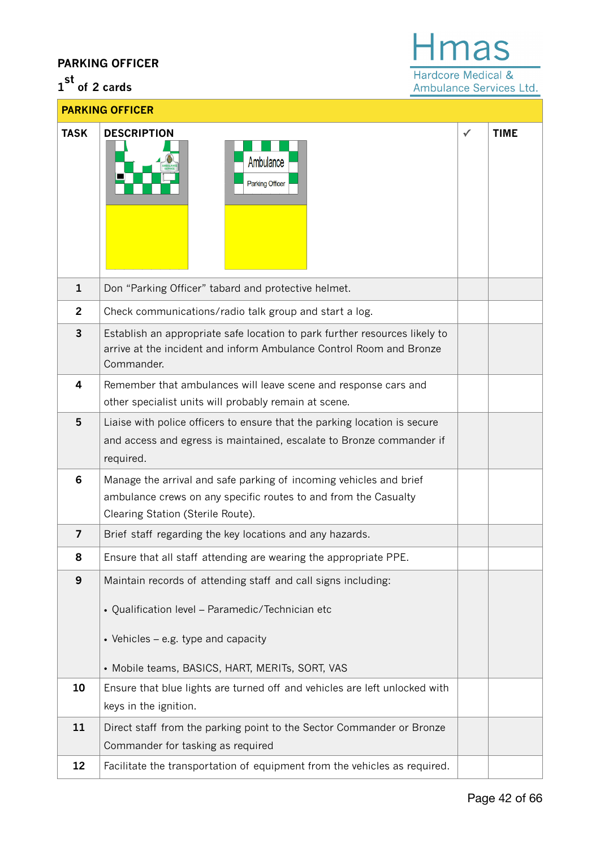## **PARKING OFFICER**

## **1 st of 2 cards**

## Hmas Hardcore Medical & Ambulance Services Ltd.

| <b>PARKING OFFICER</b> |                                                                                                                                                                                                             |   |             |  |
|------------------------|-------------------------------------------------------------------------------------------------------------------------------------------------------------------------------------------------------------|---|-------------|--|
| <b>TASK</b>            | <b>DESCRIPTION</b><br>Ambulance<br><b>Parking Officer</b>                                                                                                                                                   | ✓ | <b>TIME</b> |  |
| $\mathbf{1}$           | Don "Parking Officer" tabard and protective helmet.                                                                                                                                                         |   |             |  |
| $\overline{2}$         | Check communications/radio talk group and start a log.                                                                                                                                                      |   |             |  |
| $\overline{3}$         | Establish an appropriate safe location to park further resources likely to<br>arrive at the incident and inform Ambulance Control Room and Bronze<br>Commander.                                             |   |             |  |
| 4                      | Remember that ambulances will leave scene and response cars and                                                                                                                                             |   |             |  |
|                        | other specialist units will probably remain at scene.                                                                                                                                                       |   |             |  |
| 5                      | Liaise with police officers to ensure that the parking location is secure<br>and access and egress is maintained, escalate to Bronze commander if<br>required.                                              |   |             |  |
| 6                      | Manage the arrival and safe parking of incoming vehicles and brief<br>ambulance crews on any specific routes to and from the Casualty<br>Clearing Station (Sterile Route).                                  |   |             |  |
| $\overline{7}$         | Brief staff regarding the key locations and any hazards.                                                                                                                                                    |   |             |  |
| 8                      | Ensure that all staff attending are wearing the appropriate PPE.                                                                                                                                            |   |             |  |
| $\boldsymbol{9}$       | Maintain records of attending staff and call signs including:<br>• Qualification level - Paramedic/Technician etc<br>• Vehicles – e.g. type and capacity<br>• Mobile teams, BASICS, HART, MERITs, SORT, VAS |   |             |  |
| 10                     | Ensure that blue lights are turned off and vehicles are left unlocked with<br>keys in the ignition.                                                                                                         |   |             |  |
| 11                     | Direct staff from the parking point to the Sector Commander or Bronze                                                                                                                                       |   |             |  |
|                        | Commander for tasking as required                                                                                                                                                                           |   |             |  |
| 12                     | Facilitate the transportation of equipment from the vehicles as required.                                                                                                                                   |   |             |  |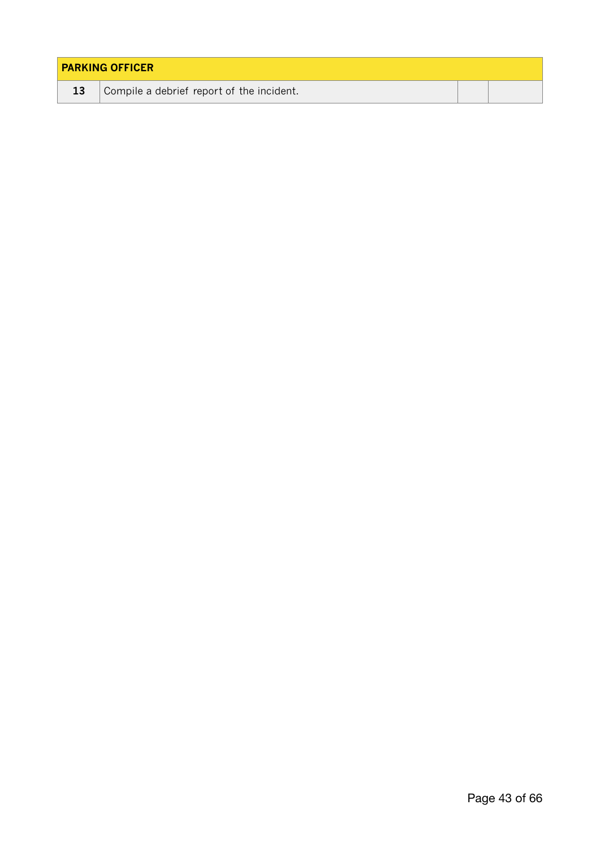| <b>PARKING OFFICER</b> |                                           |  |  |  |
|------------------------|-------------------------------------------|--|--|--|
| 13                     | Compile a debrief report of the incident. |  |  |  |